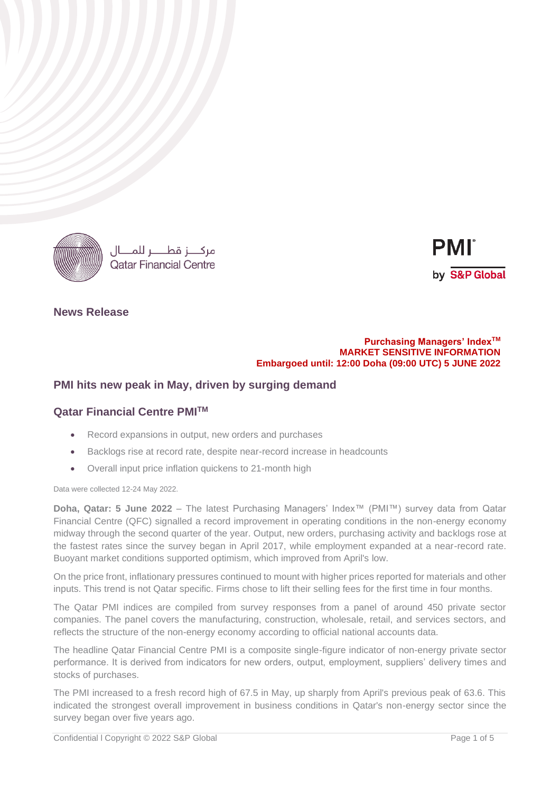

مركـــز قطــــر للمـــال **Oatar Financial Centre** 



## **News Release**

### **Purchasing Managers' IndexTM MARKET SENSITIVE INFORMATION Embargoed until: 12:00 Doha (09:00 UTC) 5 JUNE 2022**

# **PMI hits new peak in May, driven by surging demand**

# **Qatar Financial Centre PMITM**

- Record expansions in output, new orders and purchases
- Backlogs rise at record rate, despite near-record increase in headcounts
- Overall input price inflation quickens to 21-month high

Data were collected 12-24 May 2022.

**Doha, Qatar: 5 June 2022** – The latest Purchasing Managers' Index™ (PMI™) survey data from Qatar Financial Centre (QFC) signalled a record improvement in operating conditions in the non-energy economy midway through the second quarter of the year. Output, new orders, purchasing activity and backlogs rose at the fastest rates since the survey began in April 2017, while employment expanded at a near-record rate. Buoyant market conditions supported optimism, which improved from April's low.

On the price front, inflationary pressures continued to mount with higher prices reported for materials and other inputs. This trend is not Qatar specific. Firms chose to lift their selling fees for the first time in four months.

The Qatar PMI indices are compiled from survey responses from a panel of around 450 private sector companies. The panel covers the manufacturing, construction, wholesale, retail, and services sectors, and reflects the structure of the non-energy economy according to official national accounts data.

The headline Qatar Financial Centre PMI is a composite single-figure indicator of non-energy private sector performance. It is derived from indicators for new orders, output, employment, suppliers' delivery times and stocks of purchases.

The PMI increased to a fresh record high of 67.5 in May, up sharply from April's previous peak of 63.6. This indicated the strongest overall improvement in business conditions in Qatar's non-energy sector since the survey began over five years ago.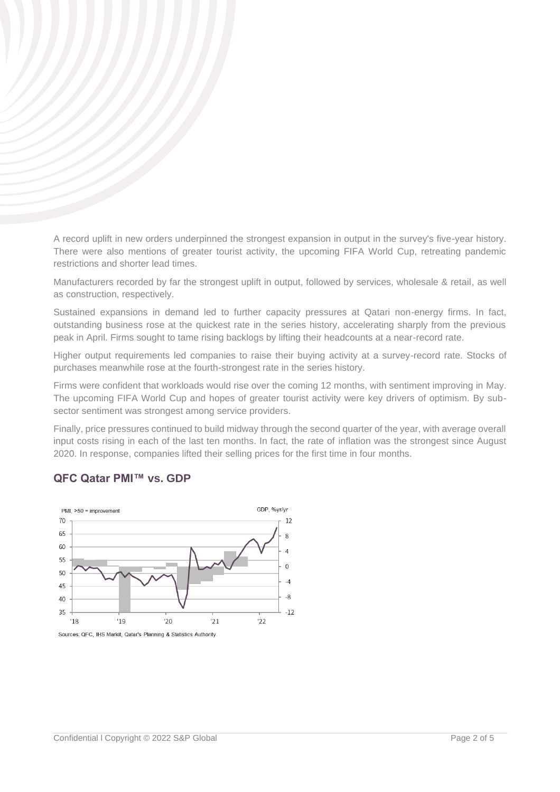A record uplift in new orders underpinned the strongest expansion in output in the survey's five-year history. There were also mentions of greater tourist activity, the upcoming FIFA World Cup, retreating pandemic restrictions and shorter lead times.

Manufacturers recorded by far the strongest uplift in output, followed by services, wholesale & retail, as well as construction, respectively.

Sustained expansions in demand led to further capacity pressures at Qatari non-energy firms. In fact, outstanding business rose at the quickest rate in the series history, accelerating sharply from the previous peak in April. Firms sought to tame rising backlogs by lifting their headcounts at a near-record rate.

Higher output requirements led companies to raise their buying activity at a survey-record rate. Stocks of purchases meanwhile rose at the fourth-strongest rate in the series history.

Firms were confident that workloads would rise over the coming 12 months, with sentiment improving in May. The upcoming FIFA World Cup and hopes of greater tourist activity were key drivers of optimism. By subsector sentiment was strongest among service providers.

Finally, price pressures continued to build midway through the second quarter of the year, with average overall input costs rising in each of the last ten months. In fact, the rate of inflation was the strongest since August 2020. In response, companies lifted their selling prices for the first time in four months.

# **QFC Qatar PMI™ vs. GDP**



Sources: QFC, IHS Markit, Qatar's Planning & Statistics Authority.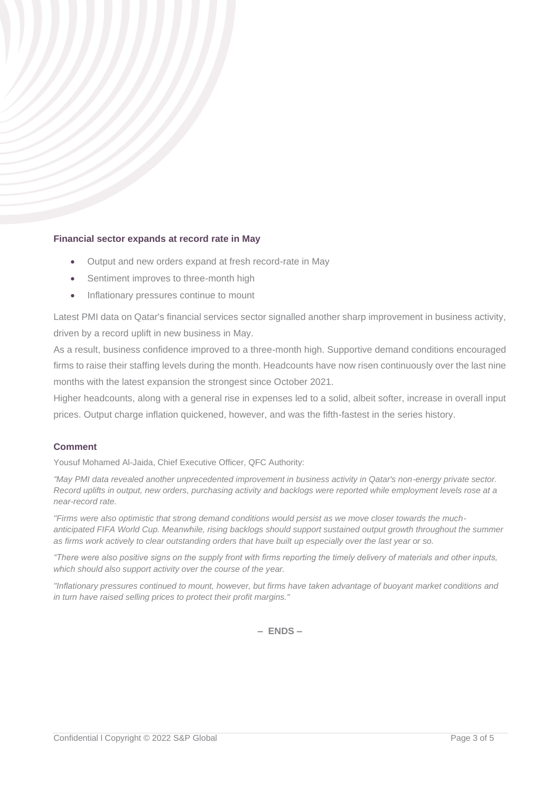## **Financial sector expands at record rate in May**

- Output and new orders expand at fresh record-rate in May
- Sentiment improves to three-month high
- Inflationary pressures continue to mount

Latest PMI data on Qatar's financial services sector signalled another sharp improvement in business activity, driven by a record uplift in new business in May.

As a result, business confidence improved to a three-month high. Supportive demand conditions encouraged firms to raise their staffing levels during the month. Headcounts have now risen continuously over the last nine months with the latest expansion the strongest since October 2021.

Higher headcounts, along with a general rise in expenses led to a solid, albeit softer, increase in overall input prices. Output charge inflation quickened, however, and was the fifth-fastest in the series history.

## **Comment**

Yousuf Mohamed Al-Jaida, Chief Executive Officer, QFC Authority:

*"May PMI data revealed another unprecedented improvement in business activity in Qatar's non-energy private sector. Record uplifts in output, new orders, purchasing activity and backlogs were reported while employment levels rose at a near-record rate.* 

*"Firms were also optimistic that strong demand conditions would persist as we move closer towards the much*anticipated FIFA World Cup. Meanwhile, rising backlogs should support sustained output growth throughout the summer *as firms work actively to clear outstanding orders that have built up especially over the last year or so.* 

*"There were also positive signs on the supply front with firms reporting the timely delivery of materials and other inputs, which should also support activity over the course of the year.* 

*"Inflationary pressures continued to mount, however, but firms have taken advantage of buoyant market conditions and in turn have raised selling prices to protect their profit margins."*

**– ENDS –**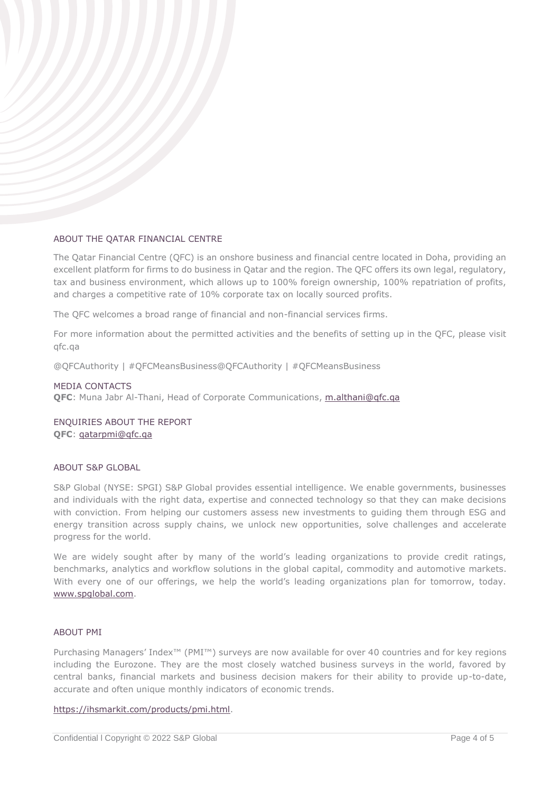## ABOUT THE QATAR FINANCIAL CENTRE

The Qatar Financial Centre (QFC) is an onshore business and financial centre located in Doha, providing an excellent platform for firms to do business in Qatar and the region. The QFC offers its own legal, regulatory, tax and business environment, which allows up to 100% foreign ownership, 100% repatriation of profits, and charges a competitive rate of 10% corporate tax on locally sourced profits.

The QFC welcomes a broad range of financial and non-financial services firms.

For more information about the permitted activities and the benefits of setting up in the QFC, please visit qfc.qa

@QFCAuthority | #QFCMeansBusiness@QFCAuthority | #QFCMeansBusiness

### MEDIA CONTACTS

**QFC**: Muna Jabr Al-Thani, Head of Corporate Communications, [m.althani@qfc.qa](mailto:m.althani@qfc.qa)

ENQUIRIES ABOUT THE REPORT **QFC**: [qatarpmi@qfc.qa](mailto:qatarpmi@qfc.qa)

## ABOUT S&P GLOBAL

S&P Global (NYSE: SPGI) S&P Global provides essential intelligence. We enable governments, businesses and individuals with the right data, expertise and connected technology so that they can make decisions with conviction. From helping our customers assess new investments to guiding them through ESG and energy transition across supply chains, we unlock new opportunities, solve challenges and accelerate progress for the world.

We are widely sought after by many of the world's leading organizations to provide credit ratings, benchmarks, analytics and workflow solutions in the global capital, commodity and automotive markets. With every one of our offerings, we help the world's leading organizations plan for tomorrow, today. [www.spglobal.com.](http://www.spglobal.com/)

### ABOUT PMI

Purchasing Managers' Index™ (PMI™) surveys are now available for over 40 countries and for key regions including the Eurozone. They are the most closely watched business surveys in the world, favored by central banks, financial markets and business decision makers for their ability to provide up-to-date, accurate and often unique monthly indicators of economic trends.

#### [https://ihsmarkit.com/products/pmi.html.](https://ihsmarkit.com/products/pmi.html)